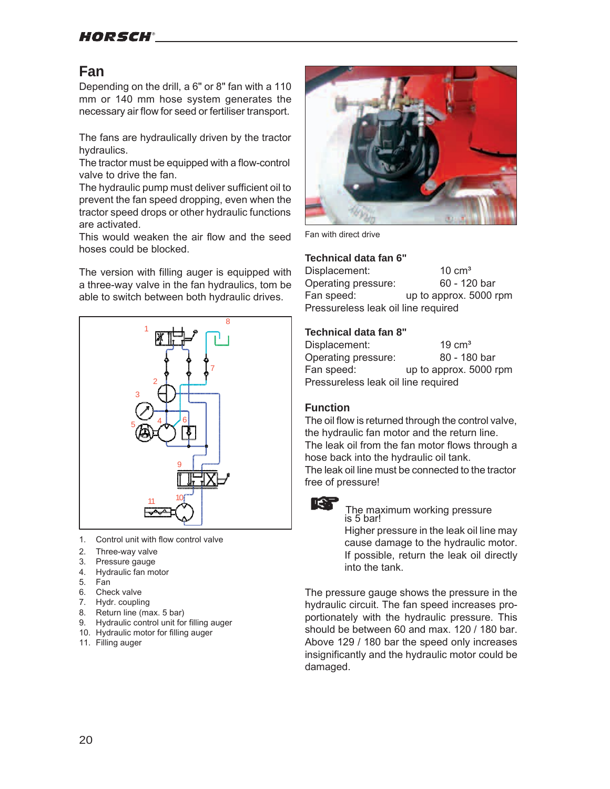# HORSCH®

# **Fan**

Depending on the drill, a 6" or 8" fan with a 110 mm or 140 mm hose system generates the necessary air flow for seed or fertiliser transport.

The fans are hydraulically driven by the tractor hydraulics.

The tractor must be equipped with a flow-control valve to drive the fan.

The hydraulic pump must deliver sufficient oil to prevent the fan speed dropping, even when the tractor speed drops or other hydraulic functions are activated.

This would weaken the air flow and the seed hoses could be blocked.

The version with filling auger is equipped with a three-way valve in the fan hydraulics, tom be able to switch between both hydraulic drives.



- 1. Control unit with flow control valve
- 2. Three-way valve<br>3. Pressure gauge
- Pressure gauge
- 4. Hydraulic fan motor
- 5. Fan
- 6. Check valve
- 7. Hydr. coupling
- 8. Return line (max. 5 bar)
- 9. Hydraulic control unit for filling auger
- 10. Hydraulic motor for filling auger
- 11. Filling auger



Fan with direct drive

### **Technical data fan 6"**

Displacement: 10 cm<sup>3</sup> Operating pressure: 60 - 120 bar Fan speed: up to approx. 5000 rpm Pressureless leak oil line required

### **Technical data fan 8"**

| Displacement:                       | $19 \text{ cm}^3$      |  |  |  |  |  |  |
|-------------------------------------|------------------------|--|--|--|--|--|--|
| Operating pressure:                 | 80 - 180 bar           |  |  |  |  |  |  |
| Fan speed:                          | up to approx. 5000 rpm |  |  |  |  |  |  |
| Pressureless leak oil line required |                        |  |  |  |  |  |  |

## **Function**

The oil flow is returned through the control valve, the hydraulic fan motor and the return line. The leak oil from the fan motor flows through a hose back into the hydraulic oil tank. The leak oil line must be connected to the tractor free of pressure!



 The maximum working pressure is 5 bar! Higher pressure in the leak oil line may cause damage to the hydraulic motor. If possible, return the leak oil directly

The pressure gauge shows the pressure in the hydraulic circuit. The fan speed increases proportionately with the hydraulic pressure. This should be between 60 and max. 120 / 180 bar. Above 129 / 180 bar the speed only increases insignificantly and the hydraulic motor could be damaged.

into the tank.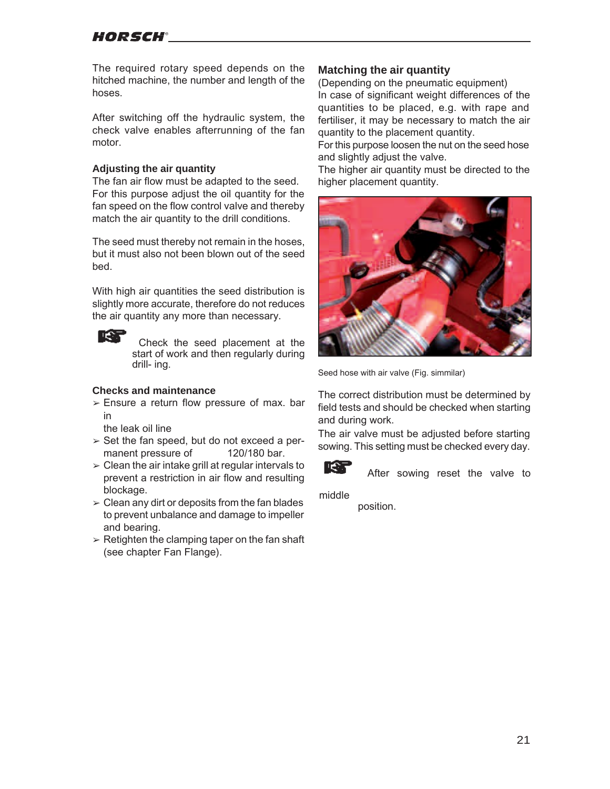# HORSCH®

The required rotary speed depends on the hitched machine, the number and length of the hoses.

After switching off the hydraulic system, the check valve enables afterrunning of the fan motor.

#### **Adjusting the air quantity**

The fan air flow must be adapted to the seed. For this purpose adjust the oil quantity for the fan speed on the flow control valve and thereby match the air quantity to the drill conditions.

The seed must thereby not remain in the hoses, but it must also not been blown out of the seed bed.

With high air quantities the seed distribution is slightly more accurate, therefore do not reduces the air quantity any more than necessary.

l l€ 1

 Check the seed placement at the start of work and then regularly during drill- ing.

## **Checks and maintenance**

 $\ge$  Ensure a return flow pressure of max. bar in

the leak oil line

- $\ge$  Set the fan speed, but do not exceed a permanent pressure of 120/180 bar.
- $\geq$  Clean the air intake grill at regular intervals to prevent a restriction in air flow and resulting blockage.
- $\geq$  Clean any dirt or deposits from the fan blades to prevent unbalance and damage to impeller and bearing.
- $\geq$  Retighten the clamping taper on the fan shaft (see chapter Fan Flange).

### **Matching the air quantity**

(Depending on the pneumatic equipment) In case of significant weight differences of the quantities to be placed, e.g. with rape and fertiliser, it may be necessary to match the air quantity to the placement quantity.

For this purpose loosen the nut on the seed hose and slightly adjust the valve.

The higher air quantity must be directed to the higher placement quantity.



Seed hose with air valve (Fig. simmilar)

The correct distribution must be determined by field tests and should be checked when starting and during work.

The air valve must be adjusted before starting sowing. This setting must be checked every day.



After sowing reset the valve to

middle

position.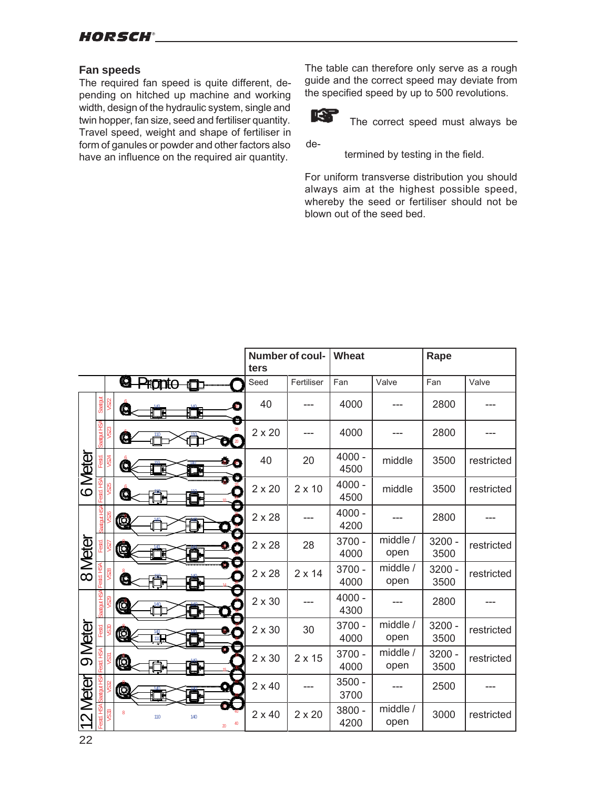## **Fan speeds**

The required fan speed is quite different, depending on hitched up machine and working width, design of the hydraulic system, single and twin hopper, fan size, seed and fertiliser quantity. Travel speed, weight and shape of fertiliser in form of ganules or powder and other factors also have an influence on the required air quantity.

The table can therefore only serve as a rough guide and the correct speed may deviate from the specified speed by up to 500 revolutions.



The correct speed must always be

de-

termined by testing in the field.

For uniform transverse distribution you should always aim at the highest possible speed, whereby the seed or fertiliser should not be blown out of the seed bed.

|          |            |                                   | Number of coul-<br>ters |               | <b>Wheat</b>     |                  | Rape             |            |
|----------|------------|-----------------------------------|-------------------------|---------------|------------------|------------------|------------------|------------|
|          |            | <b>Q</b> -Propto                  | Seed                    | Fertiliser    | Fan              | Valve            | Fan              | Valve      |
| 6 Meter  | Saatgut    | 40<br>G<br>晒<br>ℍ<br>Θ            | 40                      |               | 4000             |                  | 2800             |            |
|          |            | G<br>$\left( 20 \right)$<br>o.    | $2 \times 20$           |               | 4000             |                  | 2800             |            |
|          |            | 40<br>C<br>Œ                      | 40                      | 20            | $4000 -$<br>4500 | middle           | 3500             | restricted |
|          | Festd. HSA | e<br>C                            | $2 \times 20$           | $2 \times 10$ | $4000 -$<br>4500 | middle           | 3500             | restricted |
| 8 Meter  |            | C                                 | $2 \times 28$           |               | $4000 -$<br>4200 |                  | 2800             |            |
|          |            | Ć                                 | $2 \times 28$           | 28            | 3700 -<br>4000   | middle /<br>open | $3200 -$<br>3500 | restricted |
|          |            | G                                 | $2 \times 28$           | $2 \times 14$ | 3700 -<br>4000   | middle /<br>open | $3200 -$<br>3500 | restricted |
| 9 Meter  |            | G                                 | $2 \times 30$           |               | $4000 -$<br>4300 |                  | 2800             |            |
|          | Festd      | Ò                                 | $2 \times 30$           | 30            | 3700 -<br>4000   | middle /<br>open | $3200 -$<br>3500 | restricted |
|          | Festd. HSA | Q                                 | $2 \times 30$           | $2 \times 15$ | 3700 -<br>4000   | middle /<br>open | $3200 -$<br>3500 | restricted |
|          |            | (C                                | $2 \times 40$           |               | 3500 -<br>3700   |                  | 2500             |            |
| 12 Meter | HSA.       | 8<br>110<br>140<br>40<br>$\infty$ | $2 \times 40$           | $2 \times 20$ | 3800 -<br>4200   | middle /<br>open | 3000             | restricted |

22